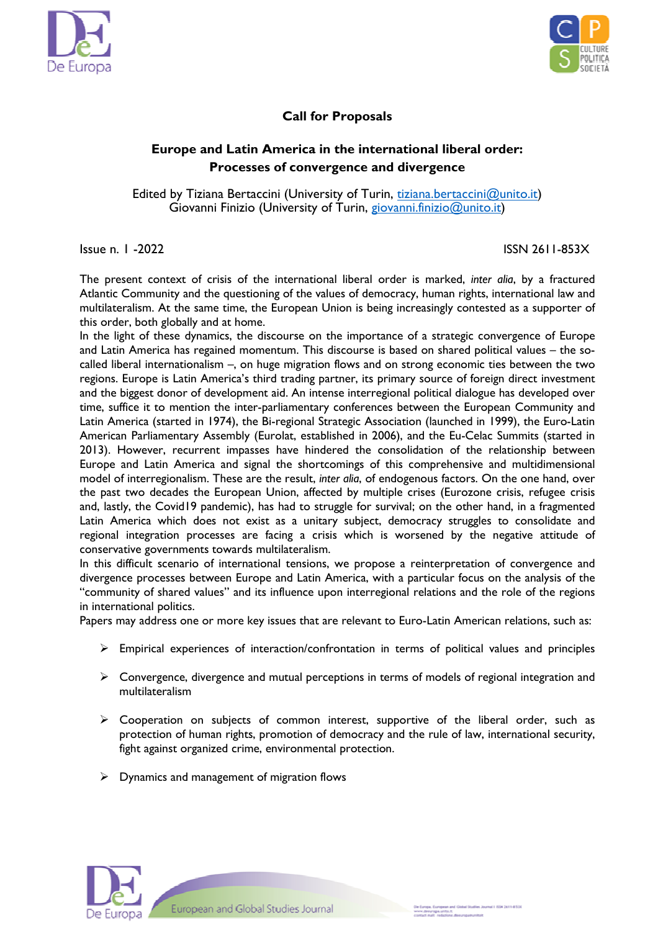



## **Call for Proposals**

## **Europe and Latin America in the international liberal order: Processes of convergence and divergence**

Edited by Tiziana Bertaccini (University of Turin, tiziana.bertaccini@unito.it) Giovanni Finizio (University of Turin, giovanni.finizio@unito.it)

## Issue n. 1 -2022 ISSN 2611-853X

The present context of crisis of the international liberal order is marked, *inter alia*, by a fractured Atlantic Community and the questioning of the values of democracy, human rights, international law and multilateralism. At the same time, the European Union is being increasingly contested as a supporter of this order, both globally and at home.

In the light of these dynamics, the discourse on the importance of a strategic convergence of Europe and Latin America has regained momentum. This discourse is based on shared political values – the socalled liberal internationalism –, on huge migration flows and on strong economic ties between the two regions. Europe is Latin America's third trading partner, its primary source of foreign direct investment and the biggest donor of development aid. An intense interregional political dialogue has developed over time, suffice it to mention the inter-parliamentary conferences between the European Community and Latin America (started in 1974), the Bi-regional Strategic Association (launched in 1999), the Euro-Latin American Parliamentary Assembly (Eurolat, established in 2006), and the Eu-Celac Summits (started in 2013). However, recurrent impasses have hindered the consolidation of the relationship between Europe and Latin America and signal the shortcomings of this comprehensive and multidimensional model of interregionalism. These are the result, *inter alia*, of endogenous factors. On the one hand, over the past two decades the European Union, affected by multiple crises (Eurozone crisis, refugee crisis and, lastly, the Covid19 pandemic), has had to struggle for survival; on the other hand, in a fragmented Latin America which does not exist as a unitary subject, democracy struggles to consolidate and regional integration processes are facing a crisis which is worsened by the negative attitude of conservative governments towards multilateralism.

In this difficult scenario of international tensions, we propose a reinterpretation of convergence and divergence processes between Europe and Latin America, with a particular focus on the analysis of the "community of shared values" and its influence upon interregional relations and the role of the regions in international politics.

Papers may address one or more key issues that are relevant to Euro-Latin American relations, such as:

- $\triangleright$  Empirical experiences of interaction/confrontation in terms of political values and principles
- $\triangleright$  Convergence, divergence and mutual perceptions in terms of models of regional integration and multilateralism
- $\triangleright$  Cooperation on subjects of common interest, supportive of the liberal order, such as protection of human rights, promotion of democracy and the rule of law, international security, fight against organized crime, environmental protection.
- $\triangleright$  Dynamics and management of migration flows



European and Global Studies Journal